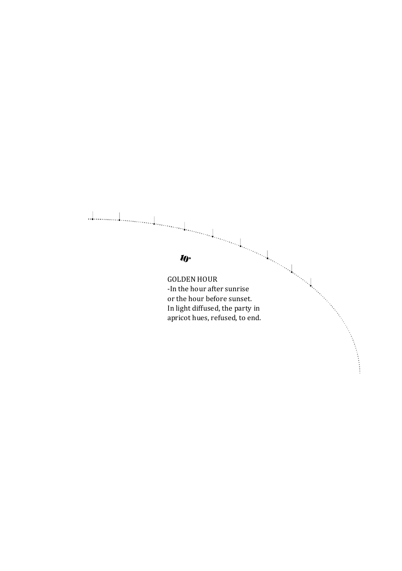# $\perp$  $\mathbf{w}$ GOLDEN HOUR -In the hour after sunrise or the hour before sunset. In light diffused, the party in apricot hues, refused, to end.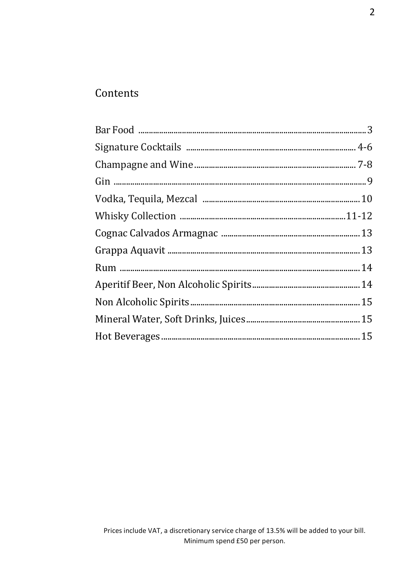# Contents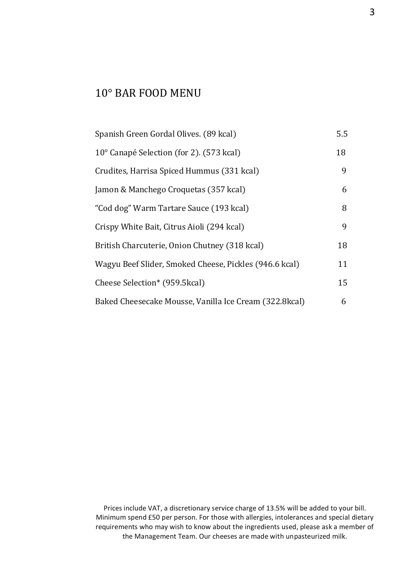# 10° BAR FOOD MENU

| Spanish Green Gordal Olives. (89 kcal)                 | 5.5 |
|--------------------------------------------------------|-----|
| 10° Canapé Selection (for 2). (573 kcal)               | 18  |
| Crudites, Harrisa Spiced Hummus (331 kcal)             | 9   |
| Jamon & Manchego Croquetas (357 kcal)                  | 6   |
| "Cod dog" Warm Tartare Sauce (193 kcal)                | 8   |
| Crispy White Bait, Citrus Aioli (294 kcal)             | 9   |
| British Charcuterie, Onion Chutney (318 kcal)          | 18  |
| Wagyu Beef Slider, Smoked Cheese, Pickles (946.6 kcal) | 11  |
| Cheese Selection* (959.5kcal)                          | 15  |
| Baked Cheesecake Mousse, Vanilla Ice Cream (322.8kcal) | 6   |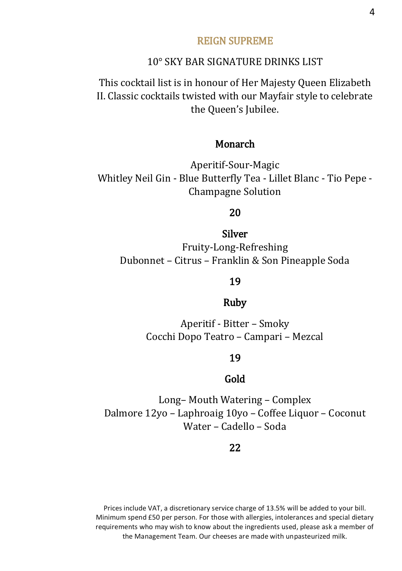#### REIGN SUPREME

#### 10° SKY BAR SIGNATURE DRINKS LIST

This cocktail list is in honour of Her Majesty Queen Elizabeth II. Classic cocktails twisted with our Mayfair style to celebrate the Queen's Jubilee.

## Monarch

Aperitif-Sour-Magic Whitley Neil Gin - Blue Butterfly Tea - Lillet Blanc - Tio Pepe - Champagne Solution

#### 20

Silver Fruity-Long-Refreshing Dubonnet – Citrus – Franklin & Son Pineapple Soda

#### 19

#### Ruby

Aperitif - Bitter – Smoky Cocchi Dopo Teatro – Campari – Mezcal

#### 19

#### Gold

Long– Mouth Watering – Complex Dalmore 12yo – Laphroaig 10yo – Coffee Liquor – Coconut Water – Cadello – Soda

#### 22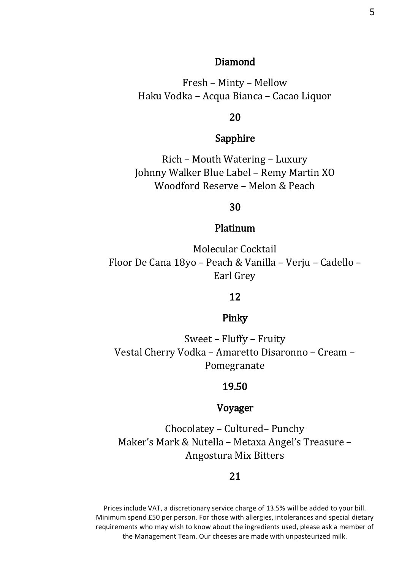#### Diamond

Fresh – Minty – Mellow Haku Vodka – Acqua Bianca – Cacao Liquor

#### 20

## Sapphire

Rich – Mouth Watering – Luxury Johnny Walker Blue Label – Remy Martin XO Woodford Reserve – Melon & Peach

#### 30

#### Platinum

Molecular Cocktail Floor De Cana 18yo – Peach & Vanilla – Verju – Cadello – Earl Grey

## 12

#### Pinky

Sweet – Fluffy – Fruity Vestal Cherry Vodka – Amaretto Disaronno – Cream – Pomegranate

#### 19.50

## Voyager

Chocolatey – Cultured– Punchy Maker's Mark & Nutella – Metaxa Angel's Treasure – Angostura Mix Bitters

#### 21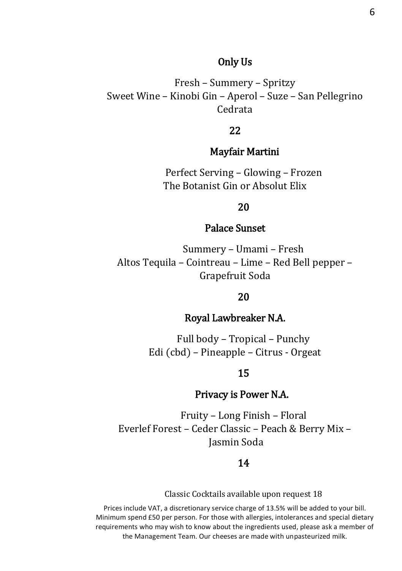#### Only Us

Fresh – Summery – Spritzy Sweet Wine – Kinobi Gin – Aperol – Suze – San Pellegrino Cedrata

## 22

#### Mayfair Martini

Perfect Serving – Glowing – Frozen The Botanist Gin or Absolut Elix

#### 20

## Palace Sunset

Summery – Umami – Fresh Altos Tequila – Cointreau – Lime – Red Bell pepper – Grapefruit Soda

#### 20

## Royal Lawbreaker N.A.

Full body – Tropical – Punchy Edi (cbd) – Pineapple – Citrus - Orgeat

#### 15

## Privacy is Power N.A.

Fruity – Long Finish – Floral Everlef Forest – Ceder Classic – Peach & Berry Mix – Jasmin Soda

#### 14

Classic Cocktails available upon request 18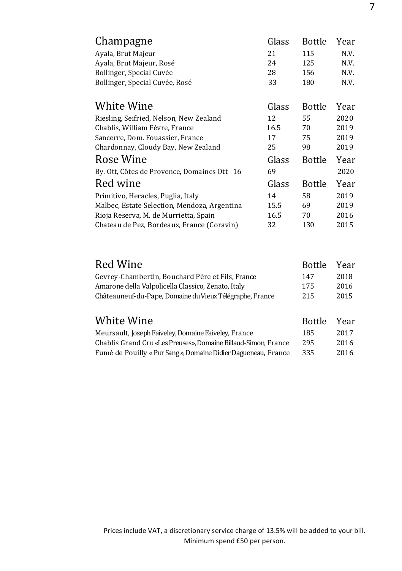| Champagne                                    | Glass | <b>Bottle</b> | Year |
|----------------------------------------------|-------|---------------|------|
| Ayala, Brut Majeur                           | 21    | 115           | N.V. |
| Ayala, Brut Majeur, Rosé                     | 24    | 125           | N.V. |
| Bollinger, Special Cuvée                     | 28    | 156           | N.V. |
| Bollinger, Special Cuvée, Rosé               | 33    | 180           | N.V. |
|                                              |       |               |      |
| White Wine                                   | Glass | Bottle        | Year |
| Riesling, Seifried, Nelson, New Zealand      | 12    | 55            | 2020 |
| Chablis, William Févre, France               | 16.5  | 70            | 2019 |
| Sancerre, Dom. Fouassier, France             | 17    | 75            | 2019 |
| Chardonnay, Cloudy Bay, New Zealand          | 25    | 98            | 2019 |
| Rose Wine                                    | Glass | Bottle        | Year |
| By. Ott. Côtes de Provence. Domaines Ott 16  | 69    |               | 2020 |
| Red wine                                     | Glass | <b>Bottle</b> | Year |
| Primitivo, Heracles, Puglia, Italy           | 14    | 58            | 2019 |
| Malbec, Estate Selection, Mendoza, Argentina | 15.5  | 69            | 2019 |
| Rioja Reserva, M. de Murrietta, Spain        | 16.5  | 70            | 2016 |
| Chateau de Pez, Bordeaux, France (Coravin)   | 32    | 130           | 2015 |
|                                              |       |               |      |

| Red Wine                                                 | <b>Bottle</b> | Year |
|----------------------------------------------------------|---------------|------|
| Gevrey-Chambertin, Bouchard Père et Fils, France         | 147           | 2018 |
| Amarone della Valpolicella Classico, Zenato, Italy       | 175           | 2016 |
| Châteauneuf-du-Pape, Domaine du Vieux Télégraphe, France | 215           | 2015 |
|                                                          |               |      |
| White Wine                                               | Bottle Year   |      |

| $\cdots$                                                       | -------- | .    |
|----------------------------------------------------------------|----------|------|
| Meursault, Joseph Faiveley, Domaine Faiveley, France           | 185      | 2017 |
| Chablis Grand Cru «Les Preuses». Domaine Billaud-Simon. France | 295      | 2016 |
| Fumé de Pouilly « Pur Sang », Domaine Didier Dagueneau, France | 335      | 2016 |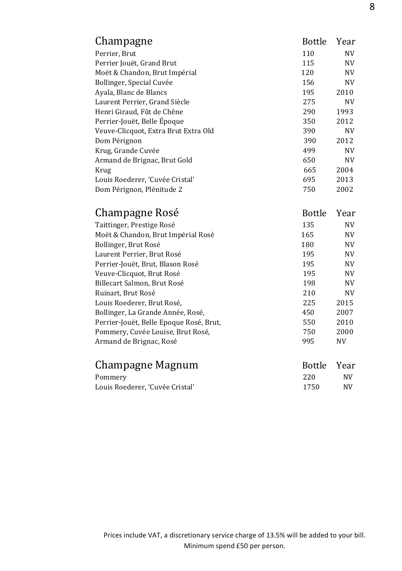| Champagne                            | Bottle | Year      |
|--------------------------------------|--------|-----------|
| Perrier, Brut                        | 110    | NV        |
| Perrier Jouët, Grand Brut            | 115    | <b>NV</b> |
| Moët & Chandon, Brut Impérial        | 120    | <b>NV</b> |
| Bollinger, Special Cuvée             | 156    | NV        |
| Ayala, Blanc de Blancs               | 195    | 2010      |
| Laurent Perrier, Grand Siècle        | 275    | <b>NV</b> |
| Henri Giraud, Fût de Chêne           | 290    | 1993      |
| Perrier-Jouët, Belle Époque          | 350    | 2012      |
| Veuve-Clicquot, Extra Brut Extra Old | 390    | <b>NV</b> |
| Dom Pérignon                         | 390    | 2012      |
| Krug, Grande Cuvée                   | 499    | NV        |
| Armand de Brignac, Brut Gold         | 650    | <b>NV</b> |
| Krug                                 | 665    | 2004      |
| Louis Roederer, 'Cuvée Cristal'      | 695    | 2013      |
| Dom Pérignon, Plénitude 2            | 750    | 2002      |

| Champagne Rosé                          | <b>Bottle</b> | Year      |
|-----------------------------------------|---------------|-----------|
| Taittinger, Prestige Rosé               | 135           | <b>NV</b> |
| Moët & Chandon, Brut Impérial Rosé      | 165           | NV        |
| Bollinger, Brut Rosé                    | 180           | NV        |
| Laurent Perrier, Brut Rosé              | 195           | NV        |
| Perrier-Jouët, Brut, Blason Rosé        | 195           | NV        |
| Veuve-Clicquot, Brut Rosé               | 195           | NV        |
| Billecart Salmon, Brut Rosé             | 198           | <b>NV</b> |
| Ruinart, Brut Rosé                      | 210           | NV        |
| Louis Roederer, Brut Rosé,              | 225           | 2015      |
| Bollinger, La Grande Année, Rosé,       | 450           | 2007      |
| Perrier-Jouët, Belle Epoque Rosé, Brut, | 550           | 2010      |
| Pommery, Cuvée Louise, Brut Rosé,       | 750           | 2000      |
| Armand de Brignac, Rosé                 | 995           | NV        |
|                                         |               |           |
| Champagne Magnum                        | <b>Bottle</b> | Year      |
| Pommery                                 | 220           | NV        |

Louis Roederer, 'Cuvée Cristal' 1750 NV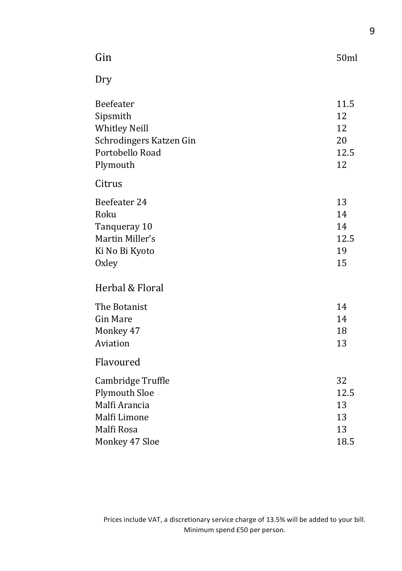| Gin                                                                                                     | 50ml                                 |
|---------------------------------------------------------------------------------------------------------|--------------------------------------|
| Dry                                                                                                     |                                      |
| Beefeater<br>Sipsmith<br><b>Whitley Neill</b><br>Schrodingers Katzen Gin<br>Portobello Road<br>Plymouth | 11.5<br>12<br>12<br>20<br>12.5<br>12 |
| Citrus                                                                                                  |                                      |
| Beefeater 24<br>Roku<br>Tanqueray 10<br>Martin Miller's<br>Ki No Bi Kyoto<br>Oxley                      | 13<br>14<br>14<br>12.5<br>19<br>15   |
| Herbal & Floral                                                                                         |                                      |
| The Botanist<br><b>Gin Mare</b><br>Monkey 47<br>Aviation                                                | 14<br>14<br>18<br>13                 |
| Flavoured                                                                                               |                                      |
| Cambridge Truffle<br><b>Plymouth Sloe</b><br>Malfi Arancia<br>Malfi Limone<br>Malfi Rosa                | 32<br>12.5<br>13<br>13<br>13         |
| Monkey 47 Sloe                                                                                          | 18.5                                 |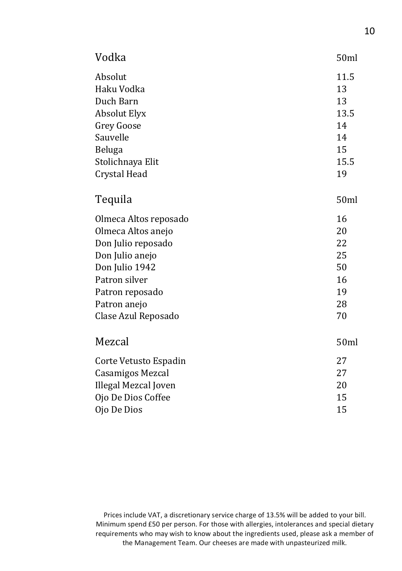| Vodka                 | 50ml |
|-----------------------|------|
| Absolut               | 11.5 |
| Haku Vodka            | 13   |
| Duch Barn             | 13   |
| <b>Absolut Elyx</b>   | 13.5 |
| <b>Grey Goose</b>     | 14   |
| Sauvelle              | 14   |
| Beluga                | 15   |
| Stolichnaya Elit      | 15.5 |
| Crystal Head          | 19   |
| Tequila               | 50ml |
| Olmeca Altos reposado | 16   |
| Olmeca Altos anejo    | 20   |
| Don Julio reposado    | 22   |
| Don Julio anejo       | 25   |
| Don Julio 1942        | 50   |
| Patron silver         | 16   |
| Patron reposado       | 19   |
| Patron anejo          | 28   |
| Clase Azul Reposado   | 70   |
| Mezcal                | 50ml |
| Corte Vetusto Espadin | 27   |
| Casamigos Mezcal      | 27   |
| Illegal Mezcal Joven  | 20   |
| Ojo De Dios Coffee    | 15   |
| Ojo De Dios           | 15   |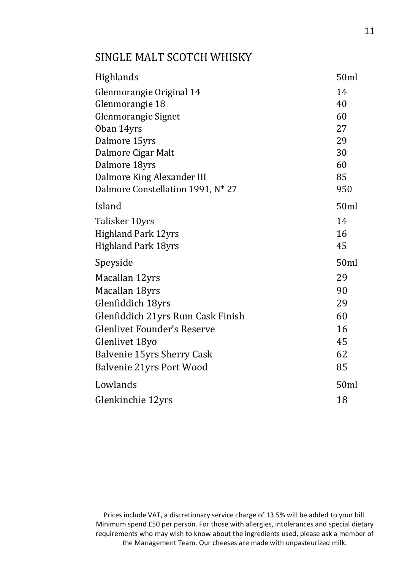# SINGLE MALT SCOTCH WHISKY

| Highlands                         | 50ml |
|-----------------------------------|------|
| Glenmorangie Original 14          | 14   |
| Glenmorangie 18                   | 40   |
| Glenmorangie Signet               | 60   |
| Oban 14yrs                        | 27   |
| Dalmore 15yrs                     | 29   |
| Dalmore Cigar Malt                | 30   |
| Dalmore 18yrs                     | 60   |
| Dalmore King Alexander III        | 85   |
| Dalmore Constellation 1991, N* 27 | 950  |
| Island                            | 50ml |
| Talisker 10yrs                    | 14   |
| <b>Highland Park 12yrs</b>        | 16   |
| <b>Highland Park 18yrs</b>        | 45   |
| Speyside                          | 50ml |
| Macallan 12yrs                    | 29   |
| Macallan 18yrs                    | 90   |
| Glenfiddich 18yrs                 | 29   |
| Glenfiddich 21yrs Rum Cask Finish | 60   |
| Glenlivet Founder's Reserve       | 16   |
| Glenlivet 18yo                    | 45   |
| Balvenie 15yrs Sherry Cask        | 62   |
| Balvenie 21yrs Port Wood          | 85   |
| Lowlands                          | 50ml |
| Glenkinchie 12yrs                 | 18   |
|                                   |      |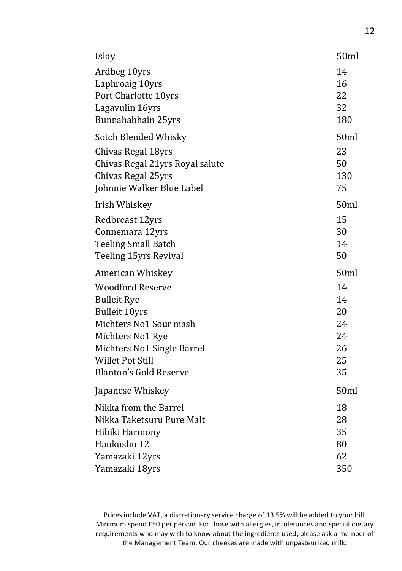| Ardbeg 10yrs<br>Laphroaig 10yrs<br>Port Charlotte 10yrs<br>Lagavulin 16yrs                                                                                                                                                 | 14<br>16<br>22<br>32<br>180<br>50ml                  |
|----------------------------------------------------------------------------------------------------------------------------------------------------------------------------------------------------------------------------|------------------------------------------------------|
| Bunnahabhain 25yrs                                                                                                                                                                                                         |                                                      |
| Sotch Blended Whisky<br>Chivas Regal 18yrs<br>Chivas Regal 21yrs Royal salute<br>Chivas Regal 25yrs<br>Johnnie Walker Blue Label                                                                                           | 23<br>50<br>130<br>75                                |
| Irish Whiskey<br>Redbreast 12yrs<br>Connemara 12yrs<br><b>Teeling Small Batch</b><br>Teeling 15yrs Revival                                                                                                                 | 50ml<br>15<br>30<br>14<br>50                         |
| American Whiskey<br><b>Woodford Reserve</b><br><b>Bulleit Rye</b><br><b>Bulleit 10yrs</b><br>Michters No1 Sour mash<br>Michters No1 Rye<br>Michters No1 Single Barrel<br>Willet Pot Still<br><b>Blanton's Gold Reserve</b> | 50ml<br>14<br>14<br>20<br>24<br>24<br>26<br>25<br>35 |
| Japanese Whiskey                                                                                                                                                                                                           | 50ml                                                 |
| Nikka from the Barrel<br>Nikka Taketsuru Pure Malt<br>Hibiki Harmony<br>Haukushu 12<br>Yamazaki 12yrs<br>Yamazaki 18yrs                                                                                                    | 18<br>28<br>35<br>80<br>62<br>350                    |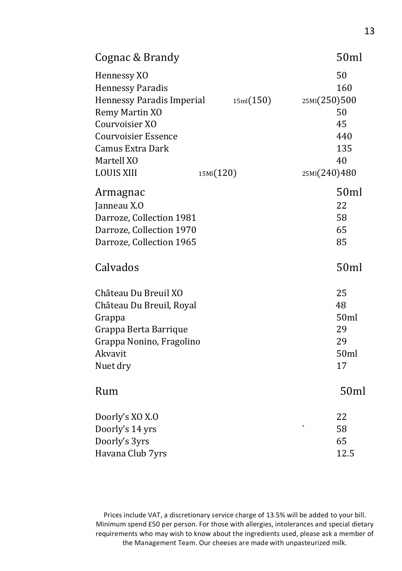| Cognac & Brandy                                                                                                                                                                              |                        | 50ml                                                                      |
|----------------------------------------------------------------------------------------------------------------------------------------------------------------------------------------------|------------------------|---------------------------------------------------------------------------|
| Hennessy XO<br><b>Hennessy Paradis</b><br>Hennessy Paradis Imperial<br>Remy Martin XO<br>Courvoisier XO<br><b>Courvoisier Essence</b><br>Camus Extra Dark<br>Martell XO<br><b>LOUIS XIII</b> | 15ml(150)<br>15MI(120) | 50<br>160<br>25MI(250)500<br>50<br>45<br>440<br>135<br>40<br>25MI(240)480 |
| Armagnac<br>Janneau X.O<br>Darroze, Collection 1981<br>Darroze, Collection 1970<br>Darroze, Collection 1965                                                                                  |                        | 50ml<br>22<br>58<br>65<br>85                                              |
| Calvados                                                                                                                                                                                     |                        | 50ml                                                                      |
| Château Du Breuil XO<br>Château Du Breuil, Royal<br>Grappa<br>Grappa Berta Barrique<br>Grappa Nonino, Fragolino<br>Akvavit<br>Nuet dry                                                       |                        | 25<br>48<br>50ml<br>29<br>29<br>50ml<br>17                                |
| Rum                                                                                                                                                                                          |                        | 50ml                                                                      |
| Doorly's XO X.O<br>Doorly's 14 yrs<br>Doorly's 3yrs<br>Havana Club 7yrs                                                                                                                      |                        | 22<br>$\overline{\phantom{0}}$<br>58<br>65<br>12.5                        |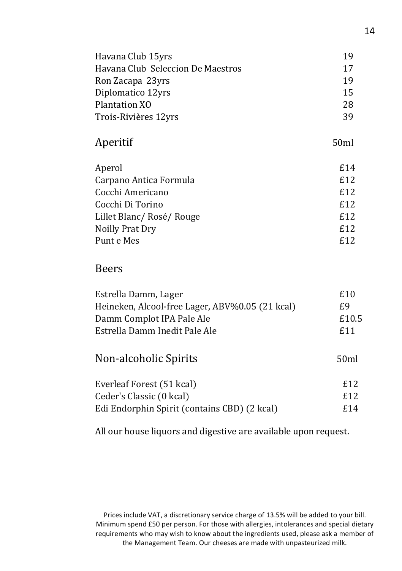| Havana Club 15yrs                 | 19   |
|-----------------------------------|------|
| Havana Club Seleccion De Maestros | 17   |
| Ron Zacapa 23yrs                  | 19   |
| Diplomatico 12yrs                 | 15   |
| Plantation XO                     | 28   |
| Trois-Rivières 12yrs              | 39   |
| Aperitif                          | 50ml |
| Aperol                            | £14  |
| Carpano Antica Formula            | £12  |
| Cocchi Americano                  | £12  |
| Cocchi Di Torino                  | £12  |
| Lillet Blanc/Rosé/Rouge           | £12  |
| Noilly Prat Dry                   | £12  |
| Punt e Mes                        | £12  |
| <b>Beers</b>                      |      |

## Beers

| Estrella Damm, Lager                            | £10   |
|-------------------------------------------------|-------|
| Heineken, Alcool-free Lager, ABV%0.05 (21 kcal) | £9    |
| Damm Complot IPA Pale Ale                       | £10.5 |
| Estrella Damm Inedit Pale Ale                   | £11   |
| Non-alcoholic Spirits                           | 50ml  |
| Everleaf Forest (51 kcal)                       | £12   |
| Ceder's Classic (0 kcal)                        | £12   |
| Edi Endorphin Spirit (contains CBD) (2 kcal)    | £14   |

All our house liquors and digestive are available upon request.